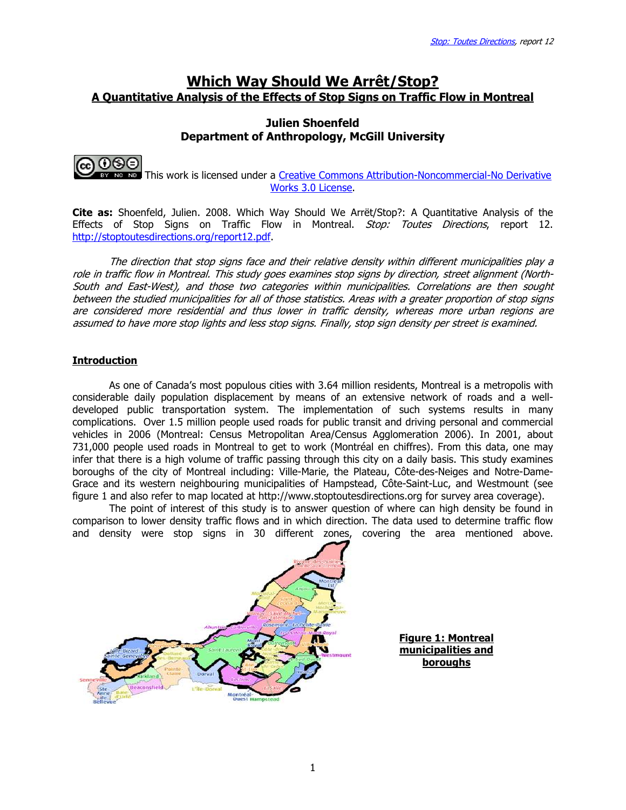# Which Way Should We Arrêt/Stop? A Quantitative Analysis of the Effects of Stop Signs on Traffic Flow in Montreal

## Julien Shoenfeld Department of Anthropology, McGill University



 This work is licensed under a Creative Commons Attribution-Noncommercial-No Derivative Works 3.0 License.

Cite as: Shoenfeld, Julien. 2008. Which Way Should We Arrët/Stop?: A Quantitative Analysis of the Effects of Stop Signs on Traffic Flow in Montreal. Stop: Toutes Directions, report 12. http://stoptoutesdirections.org/report12.pdf.

The direction that stop signs face and their relative density within different municipalities play a role in traffic flow in Montreal. This study goes examines stop signs by direction, street alignment (North-South and East-West), and those two categories within municipalities. Correlations are then sought between the studied municipalities for all of those statistics. Areas with a greater proportion of stop signs are considered more residential and thus lower in traffic density, whereas more urban regions are assumed to have more stop lights and less stop signs. Finally, stop sign density per street is examined.

### **Introduction**

As one of Canada's most populous cities with 3.64 million residents, Montreal is a metropolis with considerable daily population displacement by means of an extensive network of roads and a welldeveloped public transportation system. The implementation of such systems results in many complications. Over 1.5 million people used roads for public transit and driving personal and commercial vehicles in 2006 (Montreal: Census Metropolitan Area/Census Agglomeration 2006). In 2001, about 731,000 people used roads in Montreal to get to work (Montréal en chiffres). From this data, one may infer that there is a high volume of traffic passing through this city on a daily basis. This study examines boroughs of the city of Montreal including: Ville-Marie, the Plateau, Côte-des-Neiges and Notre-Dame-Grace and its western neighbouring municipalities of Hampstead, Côte-Saint-Luc, and Westmount (see figure 1 and also refer to map located at http://www.stoptoutesdirections.org for survey area coverage).

The point of interest of this study is to answer question of where can high density be found in comparison to lower density traffic flows and in which direction. The data used to determine traffic flow and density were stop signs in 30 different zones, covering the area mentioned above.

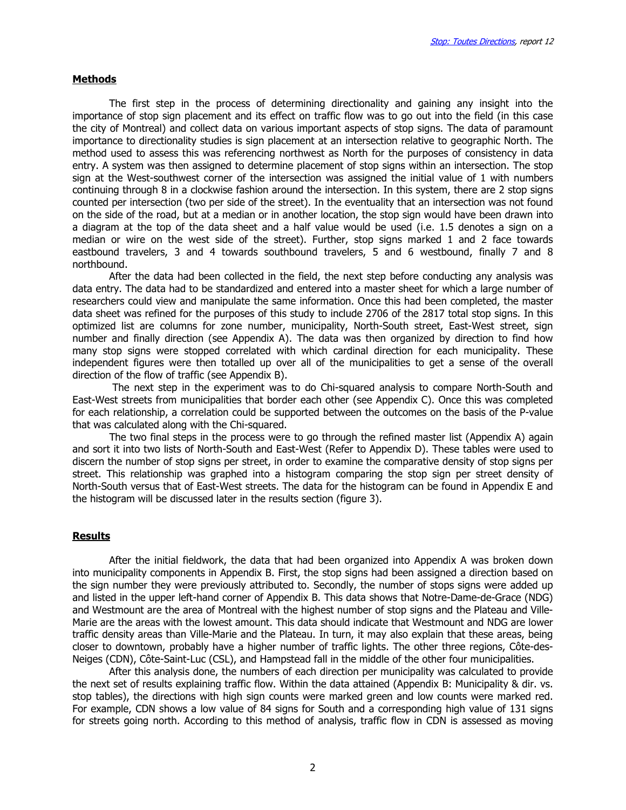#### **Methods**

The first step in the process of determining directionality and gaining any insight into the importance of stop sign placement and its effect on traffic flow was to go out into the field (in this case the city of Montreal) and collect data on various important aspects of stop signs. The data of paramount importance to directionality studies is sign placement at an intersection relative to geographic North. The method used to assess this was referencing northwest as North for the purposes of consistency in data entry. A system was then assigned to determine placement of stop signs within an intersection. The stop sign at the West-southwest corner of the intersection was assigned the initial value of 1 with numbers continuing through 8 in a clockwise fashion around the intersection. In this system, there are 2 stop signs counted per intersection (two per side of the street). In the eventuality that an intersection was not found on the side of the road, but at a median or in another location, the stop sign would have been drawn into a diagram at the top of the data sheet and a half value would be used (i.e. 1.5 denotes a sign on a median or wire on the west side of the street). Further, stop signs marked 1 and 2 face towards eastbound travelers, 3 and 4 towards southbound travelers, 5 and 6 westbound, finally 7 and 8 northbound.

After the data had been collected in the field, the next step before conducting any analysis was data entry. The data had to be standardized and entered into a master sheet for which a large number of researchers could view and manipulate the same information. Once this had been completed, the master data sheet was refined for the purposes of this study to include 2706 of the 2817 total stop signs. In this optimized list are columns for zone number, municipality, North-South street, East-West street, sign number and finally direction (see Appendix A). The data was then organized by direction to find how many stop signs were stopped correlated with which cardinal direction for each municipality. These independent figures were then totalled up over all of the municipalities to get a sense of the overall direction of the flow of traffic (see Appendix B).

 The next step in the experiment was to do Chi-squared analysis to compare North-South and East-West streets from municipalities that border each other (see Appendix C). Once this was completed for each relationship, a correlation could be supported between the outcomes on the basis of the P-value that was calculated along with the Chi-squared.

 The two final steps in the process were to go through the refined master list (Appendix A) again and sort it into two lists of North-South and East-West (Refer to Appendix D). These tables were used to discern the number of stop signs per street, in order to examine the comparative density of stop signs per street. This relationship was graphed into a histogram comparing the stop sign per street density of North-South versus that of East-West streets. The data for the histogram can be found in Appendix E and the histogram will be discussed later in the results section (figure 3).

#### Results

After the initial fieldwork, the data that had been organized into Appendix A was broken down into municipality components in Appendix B. First, the stop signs had been assigned a direction based on the sign number they were previously attributed to. Secondly, the number of stops signs were added up and listed in the upper left-hand corner of Appendix B. This data shows that Notre-Dame-de-Grace (NDG) and Westmount are the area of Montreal with the highest number of stop signs and the Plateau and Ville-Marie are the areas with the lowest amount. This data should indicate that Westmount and NDG are lower traffic density areas than Ville-Marie and the Plateau. In turn, it may also explain that these areas, being closer to downtown, probably have a higher number of traffic lights. The other three regions, Côte-des-Neiges (CDN), Côte-Saint-Luc (CSL), and Hampstead fall in the middle of the other four municipalities.

After this analysis done, the numbers of each direction per municipality was calculated to provide the next set of results explaining traffic flow. Within the data attained (Appendix B: Municipality & dir. vs. stop tables), the directions with high sign counts were marked green and low counts were marked red. For example, CDN shows a low value of 84 signs for South and a corresponding high value of 131 signs for streets going north. According to this method of analysis, traffic flow in CDN is assessed as moving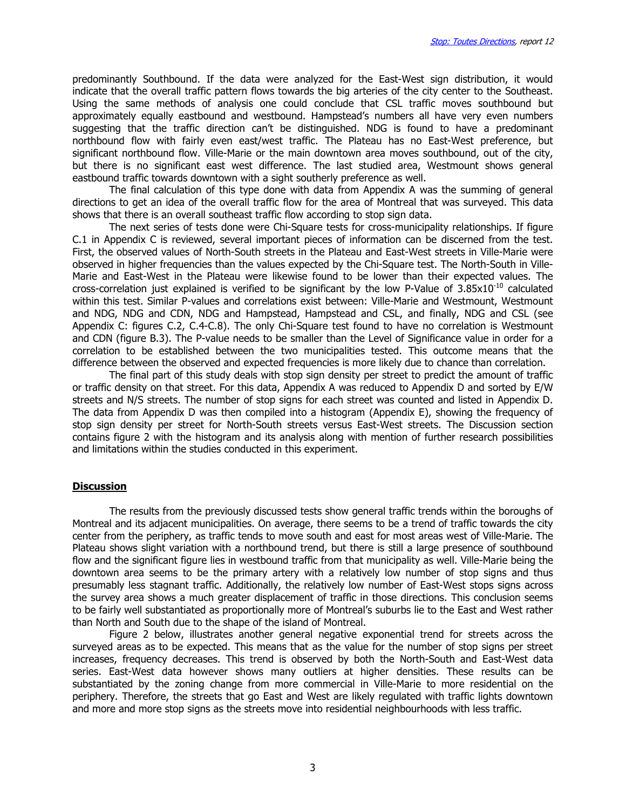predominantly Southbound. If the data were analyzed for the East-West sign distribution, it would indicate that the overall traffic pattern flows towards the big arteries of the city center to the Southeast. Using the same methods of analysis one could conclude that CSL traffic moves southbound but approximately equally eastbound and westbound. Hampstead's numbers all have very even numbers suggesting that the traffic direction can't be distinguished. NDG is found to have a predominant northbound flow with fairly even east/west traffic. The Plateau has no East-West preference, but significant northbound flow. Ville-Marie or the main downtown area moves southbound, out of the city, but there is no significant east west difference. The last studied area, Westmount shows general eastbound traffic towards downtown with a sight southerly preference as well.

The final calculation of this type done with data from Appendix A was the summing of general directions to get an idea of the overall traffic flow for the area of Montreal that was surveyed. This data shows that there is an overall southeast traffic flow according to stop sign data.

The next series of tests done were Chi-Square tests for cross-municipality relationships. If figure C.1 in Appendix C is reviewed, several important pieces of information can be discerned from the test. First, the observed values of North-South streets in the Plateau and East-West streets in Ville-Marie were observed in higher frequencies than the values expected by the Chi-Square test. The North-South in Ville-Marie and East-West in the Plateau were likewise found to be lower than their expected values. The cross-correlation just explained is verified to be significant by the low P-Value of  $3.85 \times 10^{-10}$  calculated within this test. Similar P-values and correlations exist between: Ville-Marie and Westmount, Westmount and NDG, NDG and CDN, NDG and Hampstead, Hampstead and CSL, and finally, NDG and CSL (see Appendix C: figures C.2, C.4-C.8). The only Chi-Square test found to have no correlation is Westmount and CDN (figure B.3). The P-value needs to be smaller than the Level of Significance value in order for a correlation to be established between the two municipalities tested. This outcome means that the difference between the observed and expected frequencies is more likely due to chance than correlation.

The final part of this study deals with stop sign density per street to predict the amount of traffic or traffic density on that street. For this data, Appendix A was reduced to Appendix D and sorted by E/W streets and N/S streets. The number of stop signs for each street was counted and listed in Appendix D. The data from Appendix D was then compiled into a histogram (Appendix E), showing the frequency of stop sign density per street for North-South streets versus East-West streets. The Discussion section contains figure 2 with the histogram and its analysis along with mention of further research possibilities and limitations within the studies conducted in this experiment.

#### **Discussion**

 The results from the previously discussed tests show general traffic trends within the boroughs of Montreal and its adjacent municipalities. On average, there seems to be a trend of traffic towards the city center from the periphery, as traffic tends to move south and east for most areas west of Ville-Marie. The Plateau shows slight variation with a northbound trend, but there is still a large presence of southbound flow and the significant figure lies in westbound traffic from that municipality as well. Ville-Marie being the downtown area seems to be the primary artery with a relatively low number of stop signs and thus presumably less stagnant traffic. Additionally, the relatively low number of East-West stops signs across the survey area shows a much greater displacement of traffic in those directions. This conclusion seems to be fairly well substantiated as proportionally more of Montreal's suburbs lie to the East and West rather than North and South due to the shape of the island of Montreal.

Figure 2 below, illustrates another general negative exponential trend for streets across the surveyed areas as to be expected. This means that as the value for the number of stop signs per street increases, frequency decreases. This trend is observed by both the North-South and East-West data series. East-West data however shows many outliers at higher densities. These results can be substantiated by the zoning change from more commercial in Ville-Marie to more residential on the periphery. Therefore, the streets that go East and West are likely regulated with traffic lights downtown and more and more stop signs as the streets move into residential neighbourhoods with less traffic.